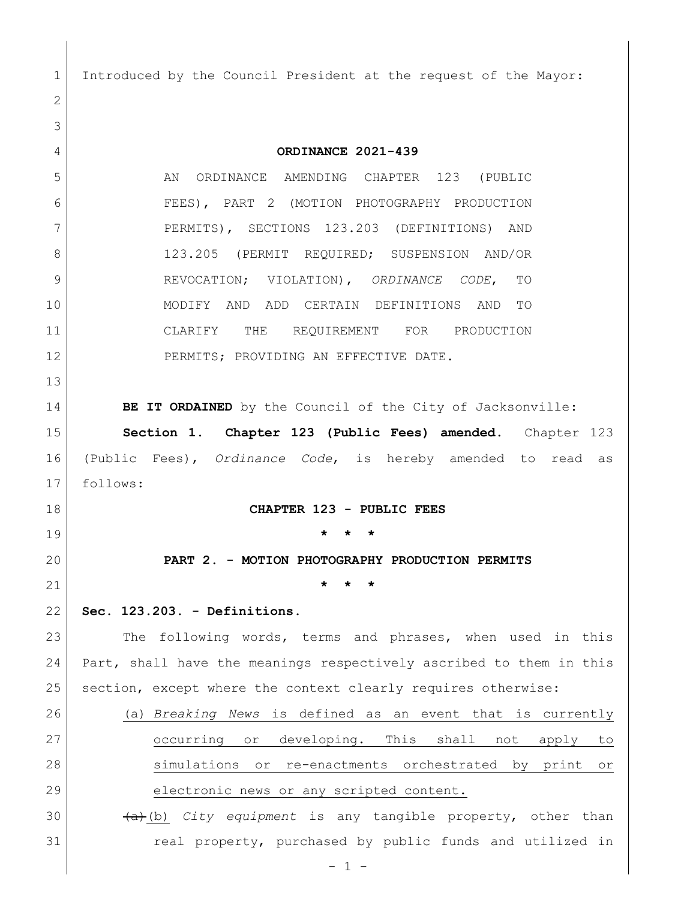Introduced by the Council President at the request of the Mayor: **ORDINANCE 2021-439** 5 AN ORDINANCE AMENDING CHAPTER 123 (PUBLIC FEES), PART 2 (MOTION PHOTOGRAPHY PRODUCTION PERMITS), SECTIONS 123.203 (DEFINITIONS) AND 8 123.205 (PERMIT REQUIRED; SUSPENSION AND/OR REVOCATION; VIOLATION), *ORDINANCE CODE*, TO MODIFY AND ADD CERTAIN DEFINITIONS AND TO CLARIFY THE REQUIREMENT FOR PRODUCTION 12 PERMITS; PROVIDING AN EFFECTIVE DATE. **BE IT ORDAINED** by the Council of the City of Jacksonville: **Section 1**. **Chapter 123 (Public Fees) amended.** Chapter 123 (Public Fees), *Ordinance Code*, is hereby amended to read as follows: **CHAPTER 123 - PUBLIC FEES \* \* \* PART 2. - MOTION PHOTOGRAPHY PRODUCTION PERMITS \* \* \* Sec. 123.203. - Definitions.** 23 The following words, terms and phrases, when used in this Part, shall have the meanings respectively ascribed to them in this section, except where the context clearly requires otherwise: (a) *Breaking News* is defined as an event that is currently occurring or developing. This shall not apply to simulations or re-enactments orchestrated by print or 29 electronic news or any scripted content. (a)(b) *City equipment* is any tangible property, other than 31 cal property, purchased by public funds and utilized in

- 1 -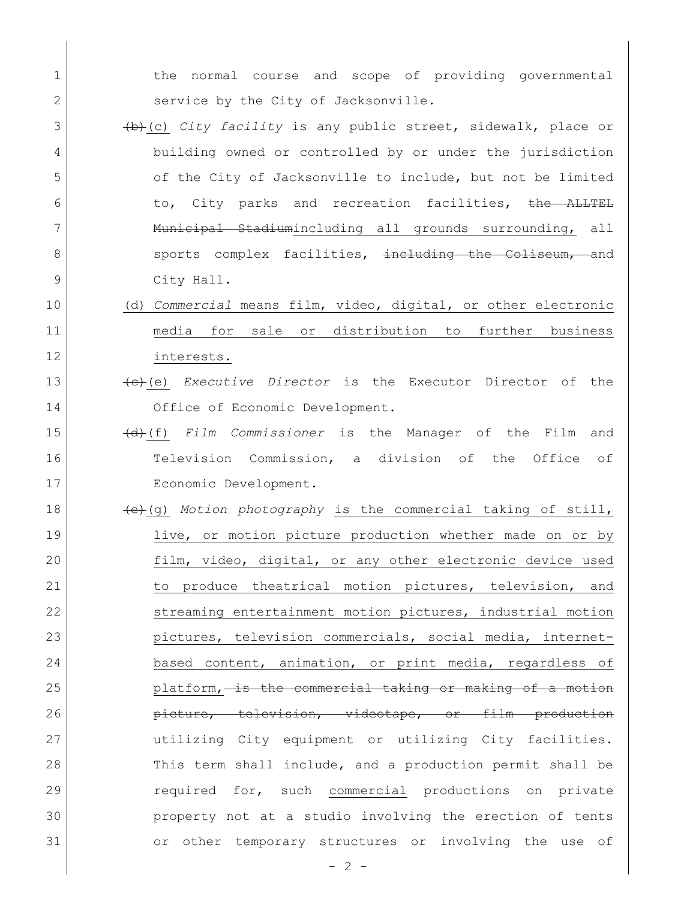1 1 the normal course and scope of providing governmental 2 service by the City of Jacksonville. 3 (b)(c) *City facility* is any public street, sidewalk, place or 4 building owned or controlled by or under the jurisdiction 5 of the City of Jacksonville to include, but not be limited 6 to, City parks and recreation facilities, the ALLTEL 7 | Municipal Stadiumincluding all grounds surrounding, all 8 sports complex facilities, including the Coliseum, and 9 City Hall. 10 (d) *Commercial* means film, video, digital, or other electronic 11 media for sale or distribution to further business 12 interests. 13 (c)(e) *Executive Director* is the Executor Director of the 14 Office of Economic Development. 15 (d)(f) *Film Commissioner* is the Manager of the Film and 16 Television Commission, a division of the Office of 17 Economic Development. 18 (e)(g) *Motion photography* is the commercial taking of still, 19 live, or motion picture production whether made on or by 20 film, video, digital, or any other electronic device used 21 1 to produce theatrical motion pictures, television, and 22 streaming entertainment motion pictures, industrial motion 23 pictures, television commercials, social media, internet-24 based content, animation, or print media, regardless of 25 platform, is the commercial taking or making of a motion 26 **picture, television, videotape, or film production** 27 utilizing City equipment or utilizing City facilities. 28 This term shall include, and a production permit shall be 29 required for, such commercial productions on private 30 property not at a studio involving the erection of tents 31 or other temporary structures or involving the use of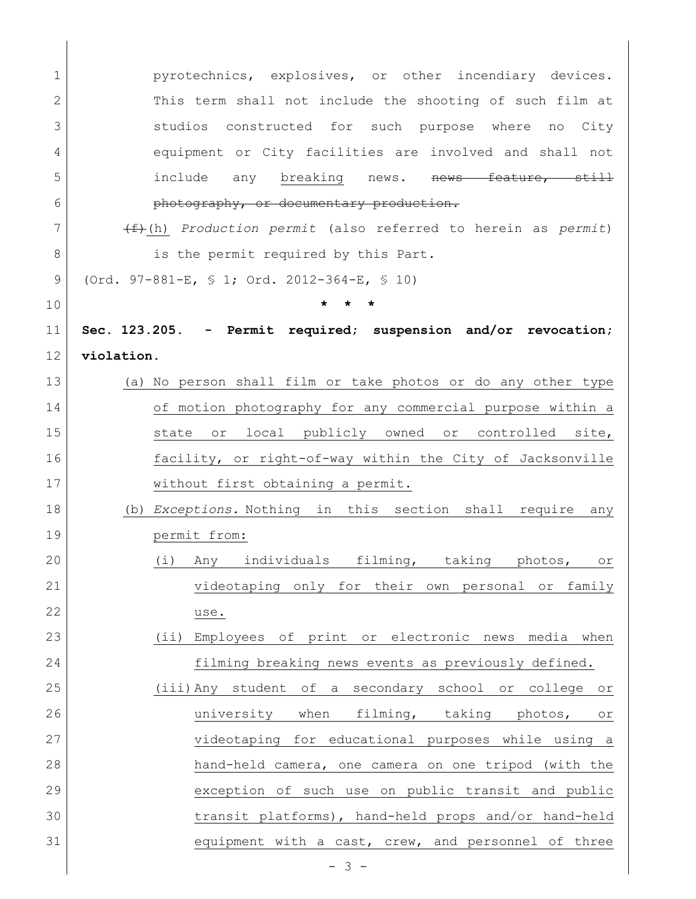| 1  | pyrotechnics, explosives, or other incendiary devices.                    |
|----|---------------------------------------------------------------------------|
| 2  | This term shall not include the shooting of such film at                  |
| 3  | studios constructed for such purpose where no City                        |
| 4  | equipment or City facilities are involved and shall not                   |
| 5  | include any breaking news. nows feature, still                            |
| 6  | photography, or documentary production.                                   |
| 7  | $\overbrace{f+(h)}$ Production permit (also referred to herein as permit) |
| 8  | is the permit required by this Part.                                      |
| 9  | (Ord. 97-881-E, § 1; Ord. 2012-364-E, § 10)                               |
| 10 |                                                                           |
| 11 | Sec. 123.205. - Permit required; suspension and/or revocation;            |
| 12 | violation.                                                                |
| 13 | (a) No person shall film or take photos or do any other type              |
| 14 | of motion photography for any commercial purpose within a                 |
| 15 | state or local publicly owned or controlled site,                         |
| 16 | facility, or right-of-way within the City of Jacksonville                 |
| 17 | without first obtaining a permit.                                         |
| 18 | (b) Exceptions. Nothing in this section shall require any                 |
| 19 | permit from:                                                              |
| 20 | (i) Any individuals filming, taking photos,<br>$\circ$ r                  |
| 21 | videotaping only for their own personal or family                         |
| 22 | use.                                                                      |
| 23 | $(i$ i)<br>Employees of print or electronic news media when               |
| 24 | filming breaking news events as previously defined.                       |
| 25 | (iii) Any student of a secondary school or college<br>O <sub>T</sub>      |
| 26 | university when filming, taking photos,<br>or                             |
| 27 | videotaping for educational purposes while using a                        |
| 28 | hand-held camera, one camera on one tripod (with the                      |
| 29 | exception of such use on public transit and public                        |
| 30 | transit platforms), hand-held props and/or hand-held                      |
| 31 | equipment with a cast, crew, and personnel of three                       |
|    |                                                                           |

 $\overline{\phantom{a}}$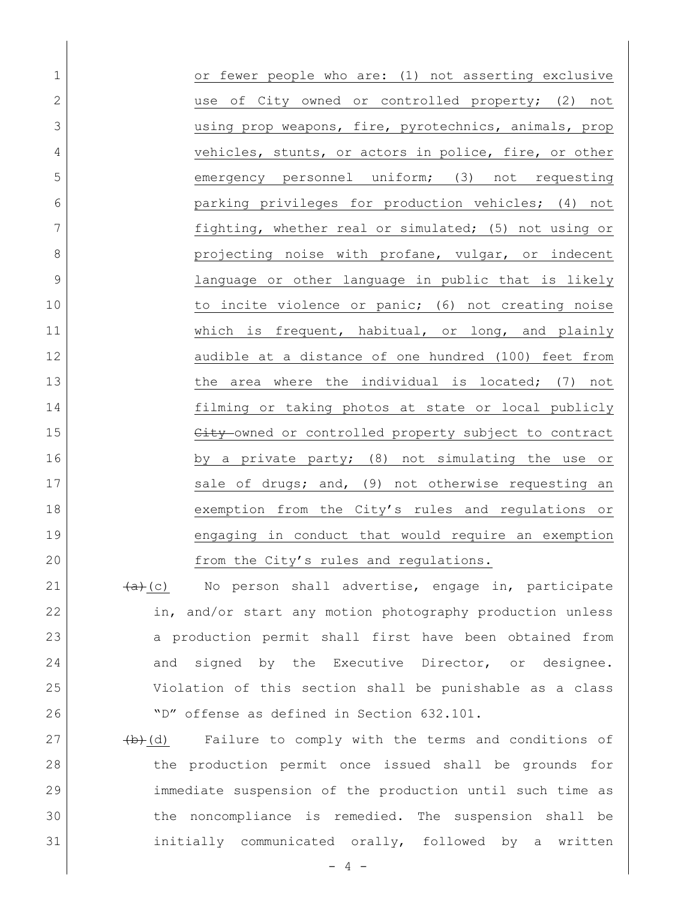1 or fewer people who are: (1) not asserting exclusive 2 and the original or controlled property; (2) not 3 using prop weapons, fire, pyrotechnics, animals, prop 4 vehicles, stunts, or actors in police, fire, or other 5 emergency personnel uniform; (3) not requesting 6 parking privileges for production vehicles; (4) not 7 fighting, whether real or simulated; (5) not using or 8 | endetage projecting noise with profane, vulgar, or indecent 9 language or other language in public that is likely 10 10 to incite violence or panic; (6) not creating noise 11 Which is frequent, habitual, or long, and plainly 12 audible at a distance of one hundred (100) feet from 13 13 the area where the individual is located; (7) not 14 filming or taking photos at state or local publicly 15 City owned or controlled property subject to contract 16 by a private party; (8) not simulating the use or 17 Sale of drugs; and, (9) not otherwise requesting an 18 exemption from the City's rules and regulations or 19 engaging in conduct that would require an exemption 20 from the City's rules and regulations.

 $(a)+(c)$  No person shall advertise, engage in, participate in, and/or start any motion photography production unless a production permit shall first have been obtained from 24 and signed by the Executive Director, or designee. Violation of this section shall be punishable as a class "D" offense as defined in Section 632.101.

 (b)(d) Failure to comply with the terms and conditions of the production permit once issued shall be grounds for immediate suspension of the production until such time as the noncompliance is remedied. The suspension shall be initially communicated orally, followed by a written